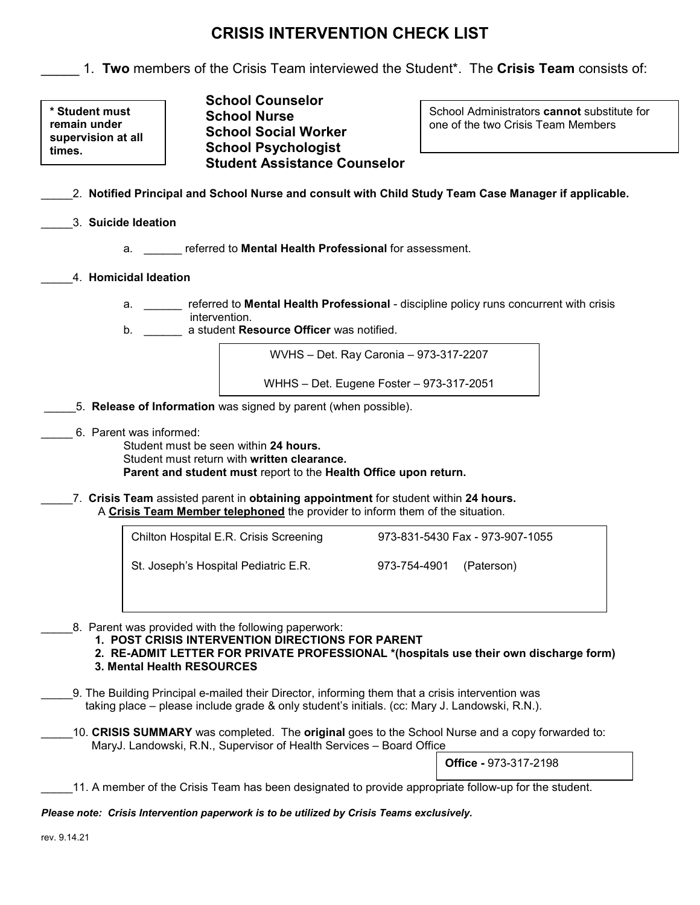# **CRISIS INTERVENTION CHECK LIST**

\_\_\_\_\_ 1. **Two** members of the Crisis Team interviewed the Student\*. The **Crisis Team** consists of:

**\* Student must remain under supervision at all times.**

**School Counselor School Nurse School Social Worker School Psychologist Student Assistance Counselor**

School Administrators **cannot** substitute for one of the two Crisis Team Members

- \_\_\_\_\_2. **Notified Principal and School Nurse and consult with Child Study Team Case Manager if applicable.**
- \_\_\_\_\_3. **Suicide Ideation**
	- a. \_\_\_\_\_\_ referred to **Mental Health Professional** for assessment.
- \_\_\_\_\_4. **Homicidal Ideation**
	- a. \_\_\_\_\_\_ referred to **Mental Health Professional** discipline policy runs concurrent with crisis intervention.
	- b. \_\_\_\_\_\_ a student **Resource Officer** was notified.

WVHS – Det. Ray Caronia – 973-317-2207

WHHS – Det. Eugene Foster – 973-317-2051

- \_\_\_\_\_5. **Release of Information** was signed by parent (when possible).
- \_\_\_\_\_ 6. Parent was informed:

Student must be seen within **24 hours.** Student must return with **written clearance. Parent and student must** report to the **Health Office upon return.**

\_\_\_\_\_7. **Crisis Team** assisted parent in **obtaining appointment** for student within **24 hours.** A **Crisis Team Member telephoned** the provider to inform them of the situation.

| Chilton Hospital E.R. Crisis Screening | 973-831-5430 Fax - 973-907-1055 |
|----------------------------------------|---------------------------------|
| St. Joseph's Hospital Pediatric E.R.   | 973-754-4901 (Paterson)         |

8. Parent was provided with the following paperwork:

**1. POST CRISIS INTERVENTION DIRECTIONS FOR PARENT**

 **2. RE-ADMIT LETTER FOR PRIVATE PROFESSIONAL \*(hospitals use their own discharge form) 3. Mental Health RESOURCES**

- \_\_\_\_\_9. The Building Principal e-mailed their Director, informing them that a crisis intervention was taking place – please include grade & only student's initials. (cc: Mary J. Landowski, R.N.).
- \_\_\_\_\_10. **CRISIS SUMMARY** was completed. The **original** goes to the School Nurse and a copy forwarded to: MaryJ. Landowski, R.N., Supervisor of Health Services – Board Office

**Office -** 973-317-2198

11. A member of the Crisis Team has been designated to provide appropriate follow-up for the student.

*Please note: Crisis Intervention paperwork is to be utilized by Crisis Teams exclusively.*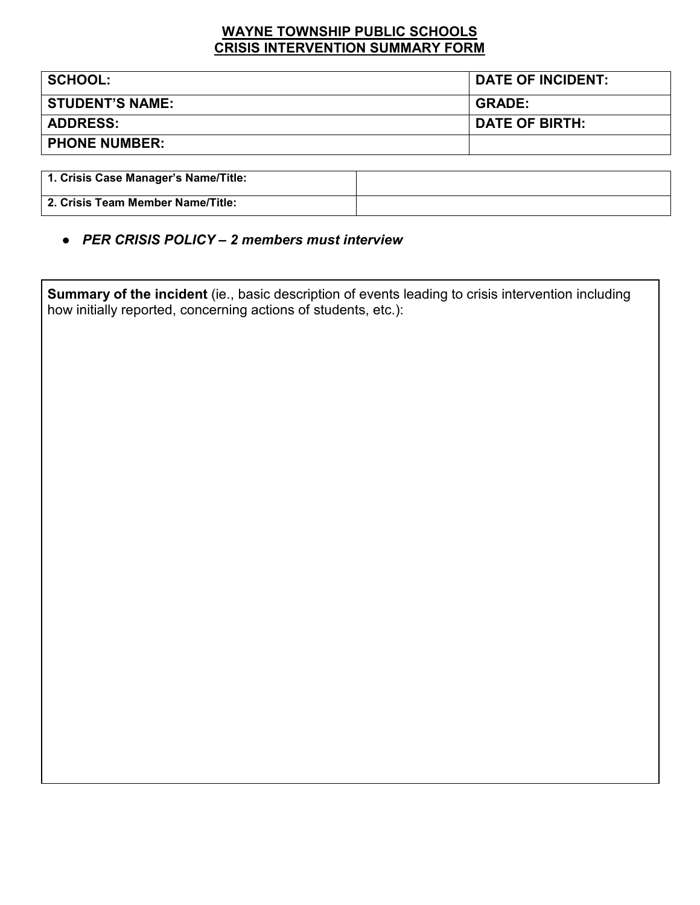### **WAYNE TOWNSHIP PUBLIC SCHOOLS CRISIS INTERVENTION SUMMARY FORM**

| <b>STUDENT'S NAME:</b><br><b>GRADE:</b> |                       |
|-----------------------------------------|-----------------------|
|                                         |                       |
| <b>ADDRESS:</b>                         | <b>DATE OF BIRTH:</b> |
| <b>PHONE NUMBER:</b>                    |                       |

| 1. Crisis Case Manager's Name/Title: |  |
|--------------------------------------|--|
| 2. Crisis Team Member Name/Title:    |  |

● *PER CRISIS POLICY – 2 members must interview*

**Summary of the incident** (ie., basic description of events leading to crisis intervention including how initially reported, concerning actions of students, etc.):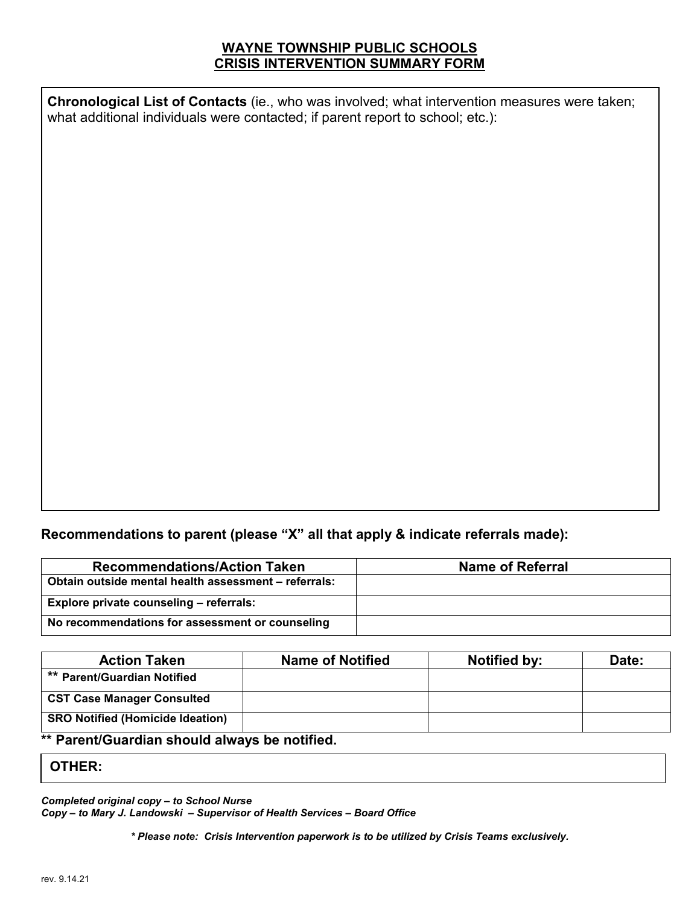## **WAYNE TOWNSHIP PUBLIC SCHOOLS CRISIS INTERVENTION SUMMARY FORM**

**Chronological List of Contacts** (ie., who was involved; what intervention measures were taken; what additional individuals were contacted; if parent report to school; etc.):

### **Recommendations to parent (please "X" all that apply & indicate referrals made):**

| <b>Recommendations/Action Taken</b>                  | <b>Name of Referral</b> |
|------------------------------------------------------|-------------------------|
| Obtain outside mental health assessment - referrals: |                         |
| Explore private counseling - referrals:              |                         |
| No recommendations for assessment or counseling      |                         |

| <b>Action Taken</b>                     | <b>Name of Notified</b> | <b>Notified by:</b> | Date: |
|-----------------------------------------|-------------------------|---------------------|-------|
| ** Parent/Guardian Notified             |                         |                     |       |
| <b>CST Case Manager Consulted</b>       |                         |                     |       |
| <b>SRO Notified (Homicide Ideation)</b> |                         |                     |       |

#### **\*\* Parent/Guardian should always be notified.**

#### **OTHER:**

*Completed original copy – to School Nurse*

*Copy – to Mary J. Landowski – Supervisor of Health Services – Board Office*

*\* Please note: Crisis Intervention paperwork is to be utilized by Crisis Teams exclusively.*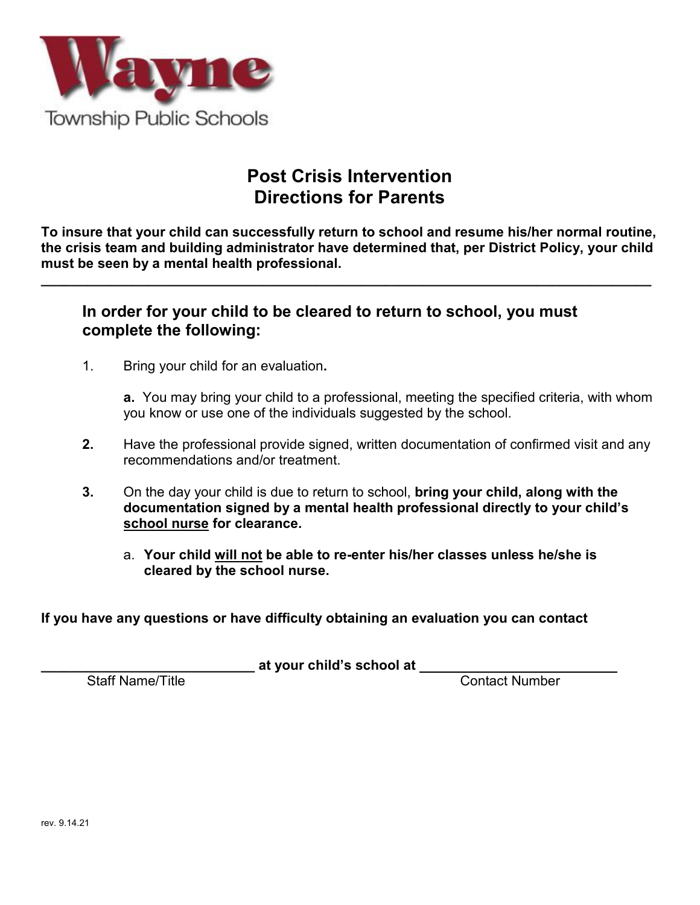

# **Post Crisis Intervention Directions for Parents**

**To insure that your child can successfully return to school and resume his/her normal routine, the crisis team and building administrator have determined that, per District Policy, your child must be seen by a mental health professional.**

**\_\_\_\_\_\_\_\_\_\_\_\_\_\_\_\_\_\_\_\_\_\_\_\_\_\_\_\_\_\_\_\_\_\_\_\_\_\_\_\_\_\_\_\_\_\_\_\_\_\_\_\_\_\_\_\_\_\_\_\_\_\_\_\_\_\_\_\_\_\_\_\_\_\_\_\_\_\_\_\_**

## **In order for your child to be cleared to return to school, you must complete the following:**

1. Bring your child for an evaluation**.**

**a.** You may bring your child to a professional, meeting the specified criteria, with whom you know or use one of the individuals suggested by the school.

- **2.** Have the professional provide signed, written documentation of confirmed visit and any recommendations and/or treatment.
- **3.** On the day your child is due to return to school, **bring your child, along with the documentation signed by a mental health professional directly to your child's school nurse for clearance.**
	- a. **Your child will not be able to re-enter his/her classes unless he/she is cleared by the school nurse.**

**If you have any questions or have difficulty obtaining an evaluation you can contact**

**\_\_\_\_\_\_\_\_\_\_\_\_\_\_\_\_\_\_\_\_\_\_\_\_\_\_\_\_ at your child's school at** 

Contact Number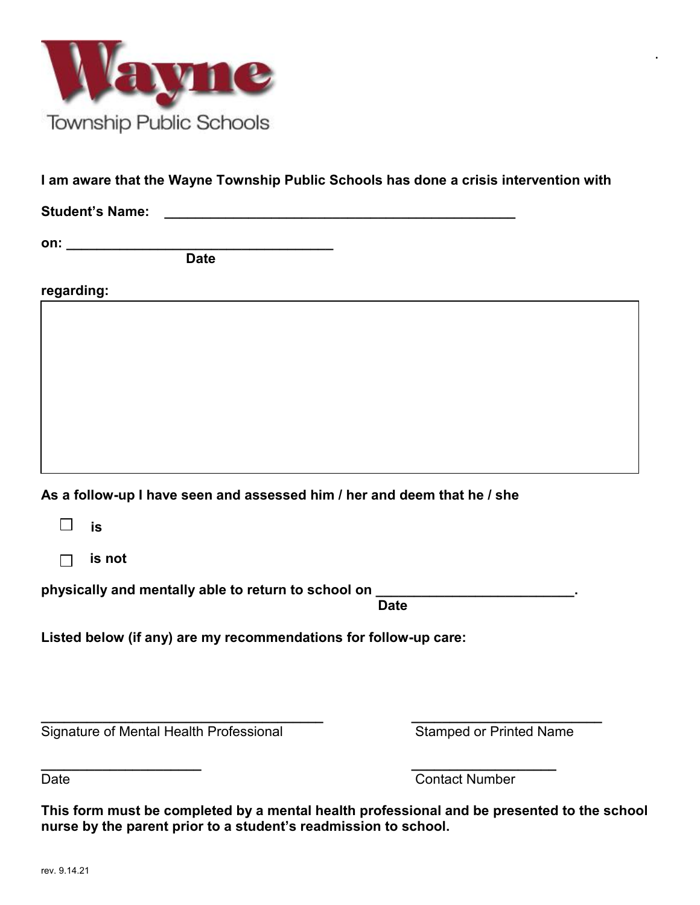

|  |  | I am aware that the Wayne Township Public Schools has done a crisis intervention with |
|--|--|---------------------------------------------------------------------------------------|
|--|--|---------------------------------------------------------------------------------------|

Student's Name: **We also contain the student's Name:**  $\mathbf{C} = \mathbf{C} \mathbf{C} \mathbf{A}$ 

**on: \_\_\_\_\_\_\_\_\_\_\_\_\_\_\_\_\_\_\_\_\_\_\_\_\_\_\_\_\_\_\_\_\_\_\_**

 **Date**

**regarding:**

**As a follow-up I have seen and assessed him / her and deem that he / she** 

| $\overline{\phantom{0}}$ |  |  |
|--------------------------|--|--|
|--------------------------|--|--|

 **is not**

physically and mentally able to return to school on

 **Date**

**Listed below (if any) are my recommendations for follow-up care:**

**\_\_\_\_\_\_\_\_\_\_\_\_\_\_\_\_\_\_\_\_\_\_\_\_\_\_\_\_\_\_\_\_\_\_\_\_\_ \_\_\_\_\_\_\_\_\_\_\_\_\_\_\_\_\_\_\_\_\_\_\_\_\_** Signature of Mental Health Professional **Stamped or Printed Name** 

**.**

**\_\_\_\_\_\_\_\_\_\_\_\_\_\_\_\_\_\_\_\_\_ \_\_\_\_\_\_\_\_\_\_\_\_\_\_\_\_\_\_\_** Date **Contact Number** 

**This form must be completed by a mental health professional and be presented to the school nurse by the parent prior to a student's readmission to school.**